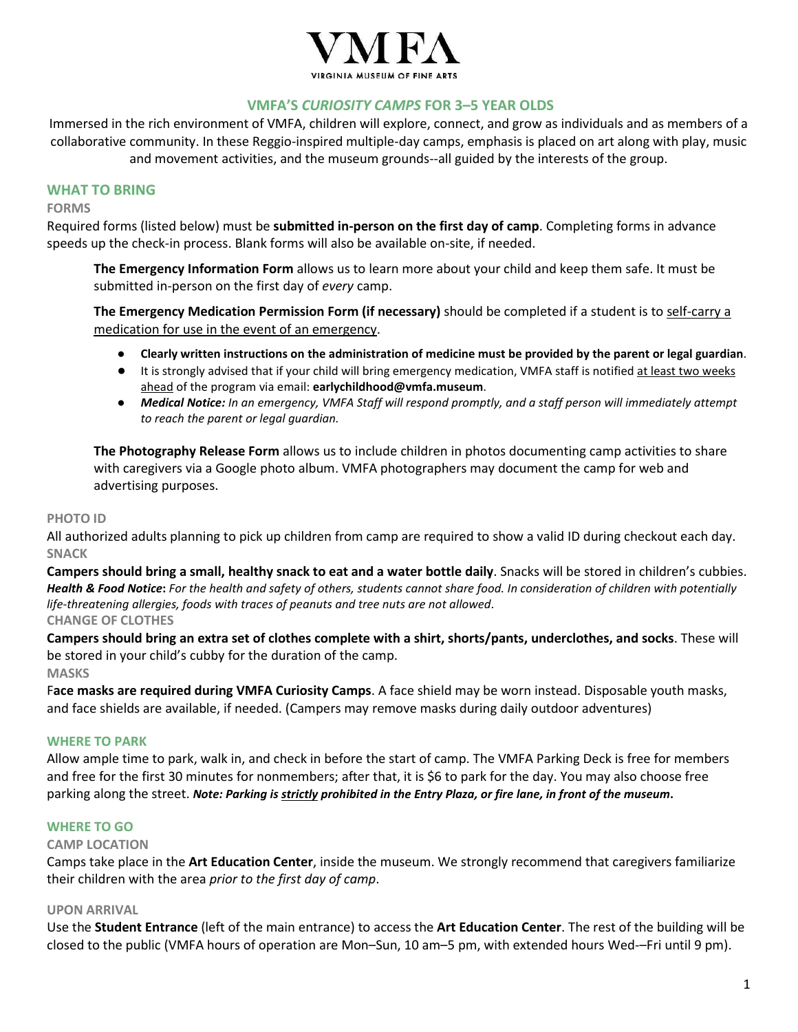

#### **VMFA'S** *CURIOSITY CAMPS* **FOR 3–5 YEAR OLDS**

Immersed in the rich environment of VMFA, children will explore, connect, and grow as individuals and as members of a collaborative community. In these Reggio-inspired multiple-day camps, emphasis is placed on art along with play, music and movement activities, and the museum grounds--all guided by the interests of the group.

#### **WHAT TO BRING**

#### **FORMS**

Required forms (listed below) must be **submitted in-person on the first day of camp**. Completing forms in advance speeds up the check-in process. Blank forms will also be available on-site, if needed.

**The Emergency Information Form** allows us to learn more about your child and keep them safe. It must be submitted in-person on the first day of *every* camp.

**The Emergency Medication Permission Form (if necessary)** should be completed if a student is to self-carry a medication for use in the event of an emergency.

- **Clearly written instructions on the administration of medicine must be provided by the parent or legal guardian**.
- It is strongly advised that if your child will bring emergency medication, VMFA staff is notified at least two weeks ahead of the program via email: **earlychildhood@vmfa.museum**.
- *Medical Notice: In an emergency, VMFA Staff will respond promptly, and a staff person will immediately attempt to reach the parent or legal guardian.*

**The Photography Release Form** allows us to include children in photos documenting camp activities to share with caregivers via a Google photo album. VMFA photographers may document the camp for web and advertising purposes.

#### **PHOTO ID**

All authorized adults planning to pick up children from camp are required to show a valid ID during checkout each day. **SNACK** 

**Campers should bring a small, healthy snack to eat and a water bottle daily**. Snacks will be stored in children's cubbies. *Health & Food Notice***:** *For the health and safety of others, students cannot share food. In consideration of children with potentially life-threatening allergies, foods with traces of peanuts and tree nuts are not allowed*. **CHANGE OF CLOTHES** 

**Campers should bring an extra set of clothes complete with a shirt, shorts/pants, underclothes, and socks**. These will be stored in your child's cubby for the duration of the camp.

**MASKS**

F**ace masks are required during VMFA Curiosity Camps**. A face shield may be worn instead. Disposable youth masks, and face shields are available, if needed. (Campers may remove masks during daily outdoor adventures)

#### **WHERE TO PARK**

Allow ample time to park, walk in, and check in before the start of camp. The VMFA Parking Deck is free for members and free for the first 30 minutes for nonmembers; after that, it is \$6 to park for the day. You may also choose free parking along the street. *Note: Parking is strictly prohibited in the Entry Plaza, or fire lane, in front of the museum***.** 

#### **WHERE TO GO**

#### **CAMP LOCATION**

Camps take place in the **Art Education Center**, inside the museum. We strongly recommend that caregivers familiarize their children with the area *prior to the first day of camp*.

#### **UPON ARRIVAL**

Use the **Student Entrance** (left of the main entrance) to access the **Art Education Center**. The rest of the building will be closed to the public (VMFA hours of operation are Mon–Sun, 10 am–5 pm, with extended hours Wed-–Fri until 9 pm).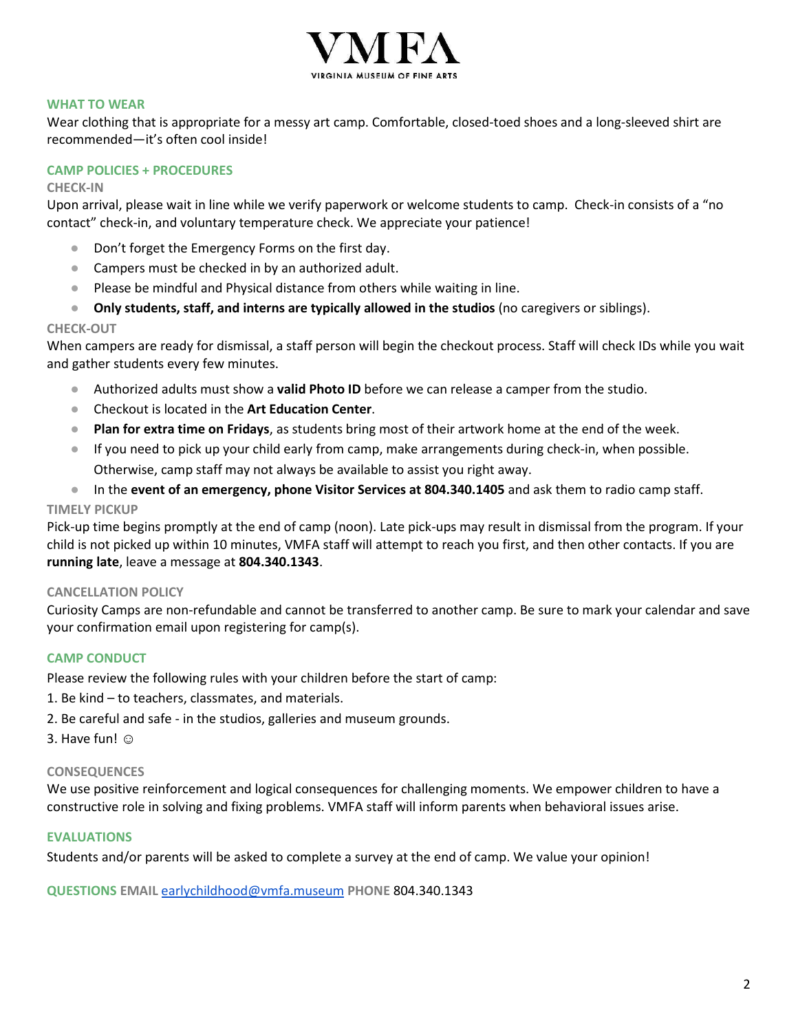

#### **WHAT TO WEAR**

Wear clothing that is appropriate for a messy art camp. Comfortable, closed-toed shoes and a long-sleeved shirt are recommended—it's often cool inside!

#### **CAMP POLICIES + PROCEDURES**

#### **CHECK-IN**

Upon arrival, please wait in line while we verify paperwork or welcome students to camp. Check-in consists of a "no contact" check-in, and voluntary temperature check. We appreciate your patience!

- Don't forget the Emergency Forms on the first day.
- Campers must be checked in by an authorized adult.
- Please be mindful and Physical distance from others while waiting in line.
- **Only students, staff, and interns are typically allowed in the studios** (no caregivers or siblings).

#### **CHECK-OUT**

When campers are ready for dismissal, a staff person will begin the checkout process. Staff will check IDs while you wait and gather students every few minutes.

- Authorized adults must show a **valid Photo ID** before we can release a camper from the studio.
- Checkout is located in the **Art Education Center**.
- **Plan for extra time on Fridays**, as students bring most of their artwork home at the end of the week.
- If you need to pick up your child early from camp, make arrangements during check-in, when possible. Otherwise, camp staff may not always be available to assist you right away.
- In the **event of an emergency, phone Visitor Services at 804.340.1405** and ask them to radio camp staff.

#### **TIMELY PICKUP**

Pick-up time begins promptly at the end of camp (noon). Late pick-ups may result in dismissal from the program. If your child is not picked up within 10 minutes, VMFA staff will attempt to reach you first, and then other contacts. If you are **running late**, leave a message at **804.340.1343**.

#### **CANCELLATION POLICY**

Curiosity Camps are non-refundable and cannot be transferred to another camp. Be sure to mark your calendar and save your confirmation email upon registering for camp(s).

#### **CAMP CONDUCT**

Please review the following rules with your children before the start of camp:

- 1. Be kind to teachers, classmates, and materials.
- 2. Be careful and safe in the studios, galleries and museum grounds.
- 3. Have fun! ☺

#### **CONSEQUENCES**

We use positive reinforcement and logical consequences for challenging moments. We empower children to have a constructive role in solving and fixing problems. VMFA staff will inform parents when behavioral issues arise.

#### **EVALUATIONS**

Students and/or parents will be asked to complete a survey at the end of camp. We value your opinion!

**QUESTIONS EMAIL** [earlychildhood@vmfa.museum](mailto:earlychildhood@vmfa.museum) **PHONE** 804.340.1343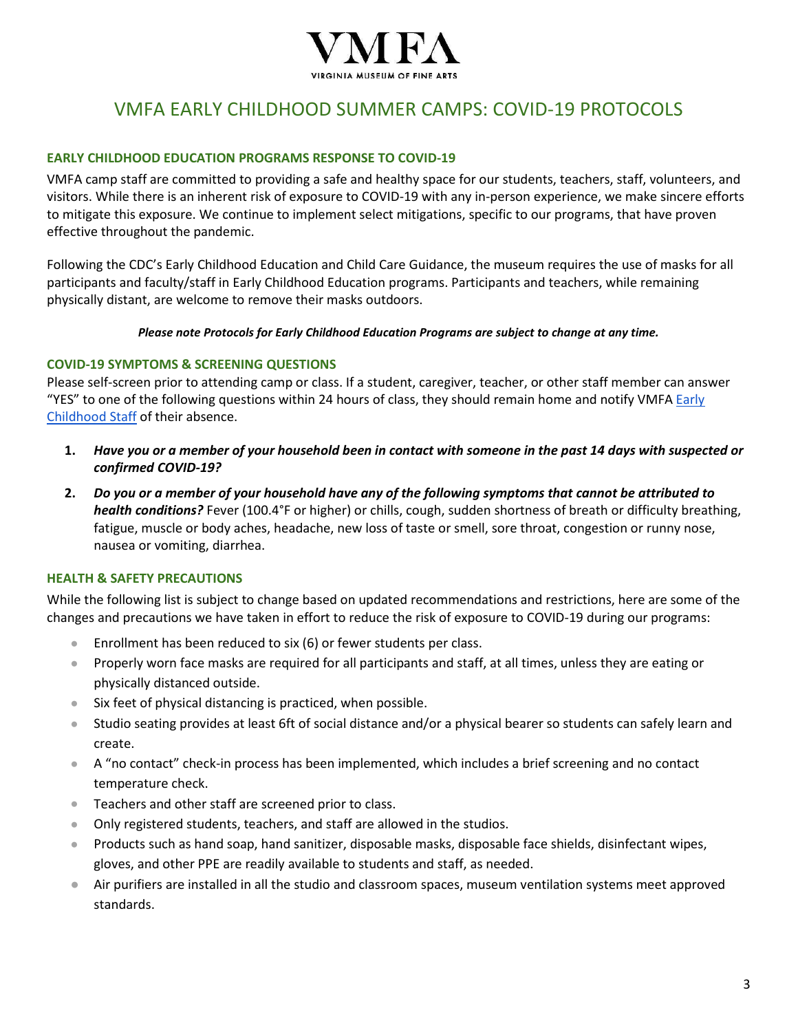

## VMFA EARLY CHILDHOOD SUMMER CAMPS: COVID-19 PROTOCOLS

#### **EARLY CHILDHOOD EDUCATION PROGRAMS RESPONSE TO COVID-19**

VMFA camp staff are committed to providing a safe and healthy space for our students, teachers, staff, volunteers, and visitors. While there is an inherent risk of exposure to COVID-19 with any in-person experience, we make sincere efforts to mitigate this exposure. We continue to implement select mitigations, specific to our programs, that have proven effective throughout the pandemic.

Following the CDC's Early Childhood Education and Child Care Guidance, the museum requires the use of masks for all participants and faculty/staff in Early Childhood Education programs. Participants and teachers, while remaining physically distant, are welcome to remove their masks outdoors.

*Please note Protocols for Early Childhood Education Programs are subject to change at any time.* 

#### **COVID-19 SYMPTOMS & SCREENING QUESTIONS**

Please self-screen prior to attending camp or class. If a student, caregiver, teacher, or other staff member can answer "YES" to one of the following questions within 24 hours of class, they should remain home and notify VMFA Early [Childhood Staff](mailto:earlychildhood@vmfa.museum) of their absence.

- **1.** *Have you or a member of your household been in contact with someone in the past 14 days with suspected or confirmed COVID-19?*
- **2.** *Do you or a member of your household have any of the following symptoms that cannot be attributed to health conditions?* Fever (100.4°F or higher) or chills, cough, sudden shortness of breath or difficulty breathing, fatigue, muscle or body aches, headache, new loss of taste or smell, sore throat, congestion or runny nose, nausea or vomiting, diarrhea.

#### **HEALTH & SAFETY PRECAUTIONS**

While the following list is subject to change based on updated recommendations and restrictions, here are some of the changes and precautions we have taken in effort to reduce the risk of exposure to COVID-19 during our programs:

- Enrollment has been reduced to six (6) or fewer students per class.
- Properly worn face masks are required for all participants and staff, at all times, unless they are eating or physically distanced outside.
- Six feet of physical distancing is practiced, when possible.
- Studio seating provides at least 6ft of social distance and/or a physical bearer so students can safely learn and create.
- A "no contact" check-in process has been implemented, which includes a brief screening and no contact temperature check.
- Teachers and other staff are screened prior to class.
- Only registered students, teachers, and staff are allowed in the studios.
- Products such as hand soap, hand sanitizer, disposable masks, disposable face shields, disinfectant wipes, gloves, and other PPE are readily available to students and staff, as needed.
- Air purifiers are installed in all the studio and classroom spaces, museum ventilation systems meet approved standards.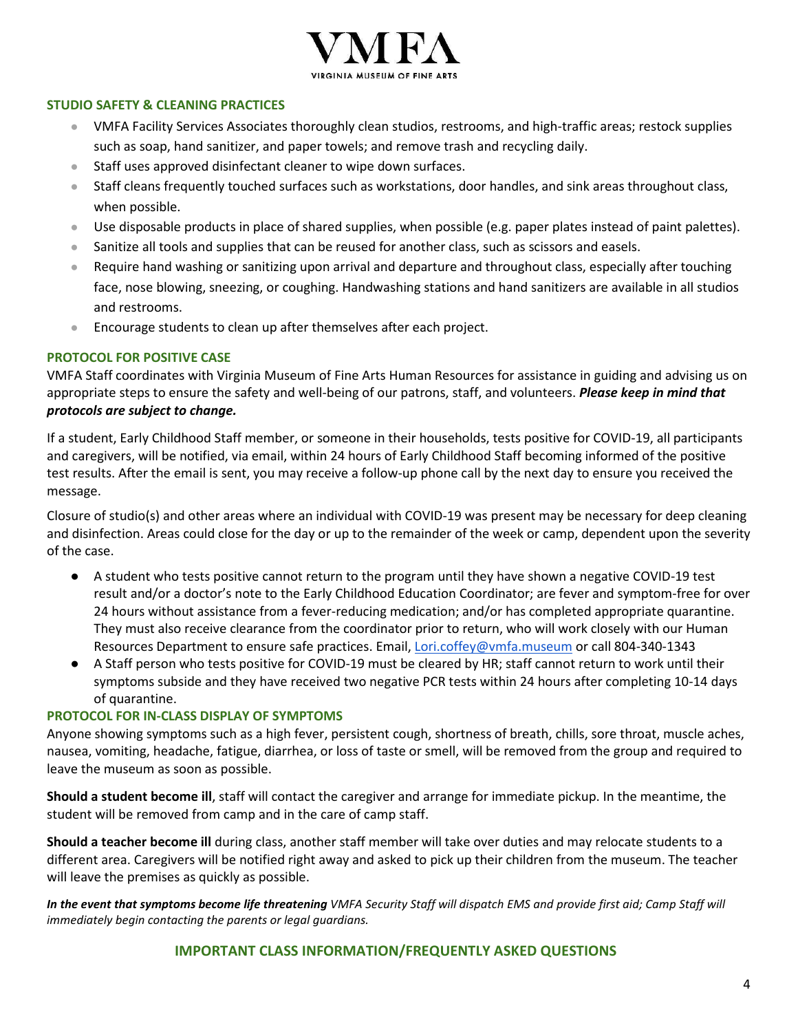

#### **STUDIO SAFETY & CLEANING PRACTICES**

- VMFA Facility Services Associates thoroughly clean studios, restrooms, and high-traffic areas; restock supplies such as soap, hand sanitizer, and paper towels; and remove trash and recycling daily.
- Staff uses approved disinfectant cleaner to wipe down surfaces.
- Staff cleans frequently touched surfaces such as workstations, door handles, and sink areas throughout class, when possible.
- Use disposable products in place of shared supplies, when possible (e.g. paper plates instead of paint palettes).
- Sanitize all tools and supplies that can be reused for another class, such as scissors and easels.
- Require hand washing or sanitizing upon arrival and departure and throughout class, especially after touching face, nose blowing, sneezing, or coughing. Handwashing stations and hand sanitizers are available in all studios and restrooms.
- Encourage students to clean up after themselves after each project.

#### **PROTOCOL FOR POSITIVE CASE**

VMFA Staff coordinates with Virginia Museum of Fine Arts Human Resources for assistance in guiding and advising us on appropriate steps to ensure the safety and well-being of our patrons, staff, and volunteers. *Please keep in mind that protocols are subject to change.*

If a student, Early Childhood Staff member, or someone in their households, tests positive for COVID-19, all participants and caregivers, will be notified, via email, within 24 hours of Early Childhood Staff becoming informed of the positive test results. After the email is sent, you may receive a follow-up phone call by the next day to ensure you received the message.

Closure of studio(s) and other areas where an individual with COVID-19 was present may be necessary for deep cleaning and disinfection. Areas could close for the day or up to the remainder of the week or camp, dependent upon the severity of the case.

- A student who tests positive cannot return to the program until they have shown a negative COVID-19 test result and/or a doctor's note to the Early Childhood Education Coordinator; are fever and symptom-free for over 24 hours without assistance from a fever-reducing medication; and/or has completed appropriate quarantine. They must also receive clearance from the coordinator prior to return, who will work closely with our Human Resources Department to ensure safe practices. Email, [Lori.coffey@vmfa.museum](mailto:Lori.coffey@vmfa.museum) or call 804-340-1343
- A Staff person who tests positive for COVID-19 must be cleared by HR; staff cannot return to work until their symptoms subside and they have received two negative PCR tests within 24 hours after completing 10-14 days of quarantine.

#### **PROTOCOL FOR IN-CLASS DISPLAY OF SYMPTOMS**

Anyone showing symptoms such as a high fever, persistent cough, shortness of breath, chills, sore throat, muscle aches, nausea, vomiting, headache, fatigue, diarrhea, or loss of taste or smell, will be removed from the group and required to leave the museum as soon as possible.

**Should a student become ill**, staff will contact the caregiver and arrange for immediate pickup. In the meantime, the student will be removed from camp and in the care of camp staff.

**Should a teacher become ill** during class, another staff member will take over duties and may relocate students to a different area. Caregivers will be notified right away and asked to pick up their children from the museum. The teacher will leave the premises as quickly as possible.

*In the event that symptoms become life threatening VMFA Security Staff will dispatch EMS and provide first aid; Camp Staff will immediately begin contacting the parents or legal guardians.*

#### **IMPORTANT CLASS INFORMATION/FREQUENTLY ASKED QUESTIONS**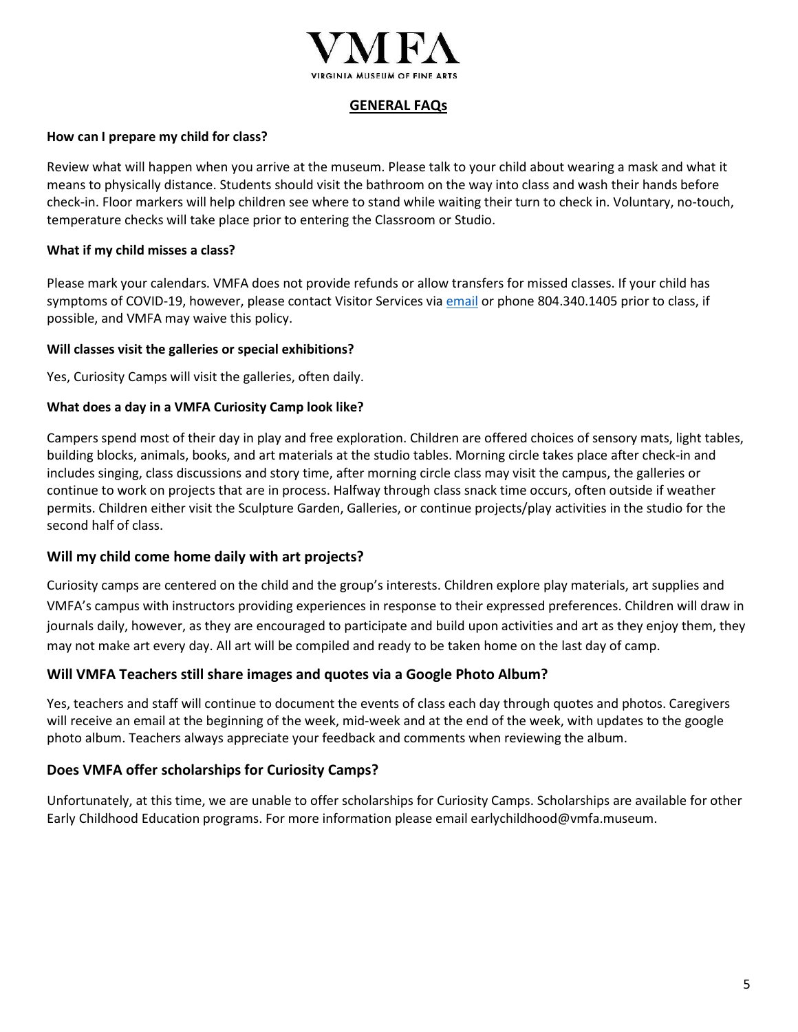

#### **GENERAL FAQs**

#### **How can I prepare my child for class?**

Review what will happen when you arrive at the museum. Please talk to your child about wearing a mask and what it means to physically distance. Students should visit the bathroom on the way into class and wash their hands before check-in. Floor markers will help children see where to stand while waiting their turn to check in. Voluntary, no-touch, temperature checks will take place prior to entering the Classroom or Studio.

#### **What if my child misses a class?**

Please mark your calendars. VMFA does not provide refunds or allow transfers for missed classes. If your child has symptoms of COVID-19, however, please contact Visitor Services via [email](mailto:visitorservices@vmfa.museum) or phone 804.340.1405 prior to class, if possible, and VMFA may waive this policy.

#### **Will classes visit the galleries or special exhibitions?**

Yes, Curiosity Camps will visit the galleries, often daily.

#### **What does a day in a VMFA Curiosity Camp look like?**

Campers spend most of their day in play and free exploration. Children are offered choices of sensory mats, light tables, building blocks, animals, books, and art materials at the studio tables. Morning circle takes place after check-in and includes singing, class discussions and story time, after morning circle class may visit the campus, the galleries or continue to work on projects that are in process. Halfway through class snack time occurs, often outside if weather permits. Children either visit the Sculpture Garden, Galleries, or continue projects/play activities in the studio for the second half of class.

#### **Will my child come home daily with art projects?**

Curiosity camps are centered on the child and the group's interests. Children explore play materials, art supplies and VMFA's campus with instructors providing experiences in response to their expressed preferences. Children will draw in journals daily, however, as they are encouraged to participate and build upon activities and art as they enjoy them, they may not make art every day. All art will be compiled and ready to be taken home on the last day of camp.

#### **Will VMFA Teachers still share images and quotes via a Google Photo Album?**

Yes, teachers and staff will continue to document the events of class each day through quotes and photos. Caregivers will receive an email at the beginning of the week, mid-week and at the end of the week, with updates to the google photo album. Teachers always appreciate your feedback and comments when reviewing the album.

#### **Does VMFA offer scholarships for Curiosity Camps?**

Unfortunately, at this time, we are unable to offer scholarships for Curiosity Camps. Scholarships are available for other Early Childhood Education programs. For more information please email earlychildhood@vmfa.museum.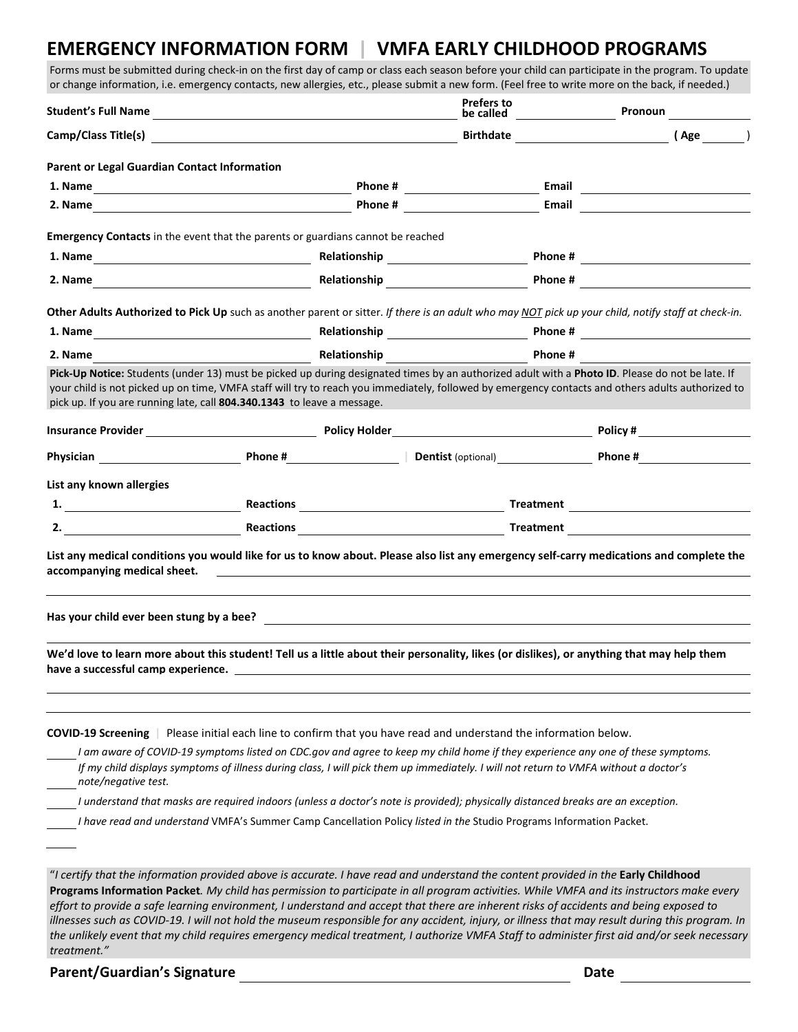### **EMERGENCY INFORMATION FORM | VMFA EARLY CHILDHOOD PROGRAMS**

Forms must be submitted during check-in on the first day of camp or class each season before your child can participate in the program. To update or change information, i.e. emergency contacts, new allergies, etc., please submit a new form. (Feel free to write more on the back, if needed.)

|                                              | Student's Full Name                                                                                                                                                                                                                                                     |                        | Prefers to<br>be called a state of the called                                                                       | Pronoun |
|----------------------------------------------|-------------------------------------------------------------------------------------------------------------------------------------------------------------------------------------------------------------------------------------------------------------------------|------------------------|---------------------------------------------------------------------------------------------------------------------|---------|
|                                              |                                                                                                                                                                                                                                                                         |                        | <b>Birthdate</b>                                                                                                    | (Age )  |
| Parent or Legal Guardian Contact Information |                                                                                                                                                                                                                                                                         |                        |                                                                                                                     |         |
|                                              |                                                                                                                                                                                                                                                                         |                        | Email                                                                                                               |         |
|                                              |                                                                                                                                                                                                                                                                         | Phone # 2008 2009 2012 |                                                                                                                     |         |
|                                              | <b>Emergency Contacts</b> in the event that the parents or guardians cannot be reached                                                                                                                                                                                  |                        |                                                                                                                     |         |
|                                              |                                                                                                                                                                                                                                                                         |                        |                                                                                                                     |         |
|                                              |                                                                                                                                                                                                                                                                         |                        |                                                                                                                     |         |
|                                              | Other Adults Authorized to Pick Up such as another parent or sitter. If there is an adult who may NOT pick up your child, notify staff at check-in.                                                                                                                     |                        |                                                                                                                     |         |
|                                              |                                                                                                                                                                                                                                                                         |                        |                                                                                                                     |         |
| 2. Name                                      | <b>Solution Section And America Article Section Article Article Article Article Article Article Article Article A</b>                                                                                                                                                   |                        |                                                                                                                     |         |
|                                              | your child is not picked up on time, VMFA staff will try to reach you immediately, followed by emergency contacts and others adults authorized to<br>pick up. If you are running late, call 804.340.1343 to leave a message.                                            |                        |                                                                                                                     |         |
|                                              | Physician <b>Example 2018</b> Phone # Phone # Phone # Physician Phone # Phone # Phone # Phone # Phone # Phone # Phone # Phone # Phone # Phone # Phone # Phone # Phone # Phone # Phone # Phone # Phone # Phone # Phone # Phone # Pho                                     |                        |                                                                                                                     |         |
|                                              |                                                                                                                                                                                                                                                                         |                        |                                                                                                                     |         |
| List any known allergies                     |                                                                                                                                                                                                                                                                         |                        |                                                                                                                     |         |
|                                              | 2. All and the seasons and the seasons of the seasons of the seasons of the seasons of the seasons of the seasons of the seasons of the seasons of the seasons of the seasons of the seasons of the seasons of the seasons of                                           |                        |                                                                                                                     |         |
| accompanying medical sheet.                  | List any medical conditions you would like for us to know about. Please also list any emergency self-carry medications and complete the                                                                                                                                 |                        | <u> 1980 - John Stein, markin sammen fyrstu stjórn og fyrir sem fyrir sem fyrir sem fyrir sem fyrir sem fyrir s</u> |         |
|                                              |                                                                                                                                                                                                                                                                         |                        |                                                                                                                     |         |
| have a successful camp experience.           | We'd love to learn more about this student! Tell us a little about their personality, likes (or dislikes), or anything that may help them                                                                                                                               |                        |                                                                                                                     |         |
|                                              | COVID-19 Screening   Please initial each line to confirm that you have read and understand the information below.                                                                                                                                                       |                        |                                                                                                                     |         |
| note/negative test.                          | I am aware of COVID-19 symptoms listed on CDC.gov and agree to keep my child home if they experience any one of these symptoms.<br>If my child displays symptoms of illness during class, I will pick them up immediately. I will not return to VMFA without a doctor's |                        |                                                                                                                     |         |
|                                              | I understand that masks are required indoors (unless a doctor's note is provided); physically distanced breaks are an exception.                                                                                                                                        |                        |                                                                                                                     |         |
|                                              | I have read and understand VMFA's Summer Camp Cancellation Policy listed in the Studio Programs Information Packet.                                                                                                                                                     |                        |                                                                                                                     |         |
|                                              |                                                                                                                                                                                                                                                                         |                        |                                                                                                                     |         |

*treatment."*

**Parent/Guardian's Signature Date**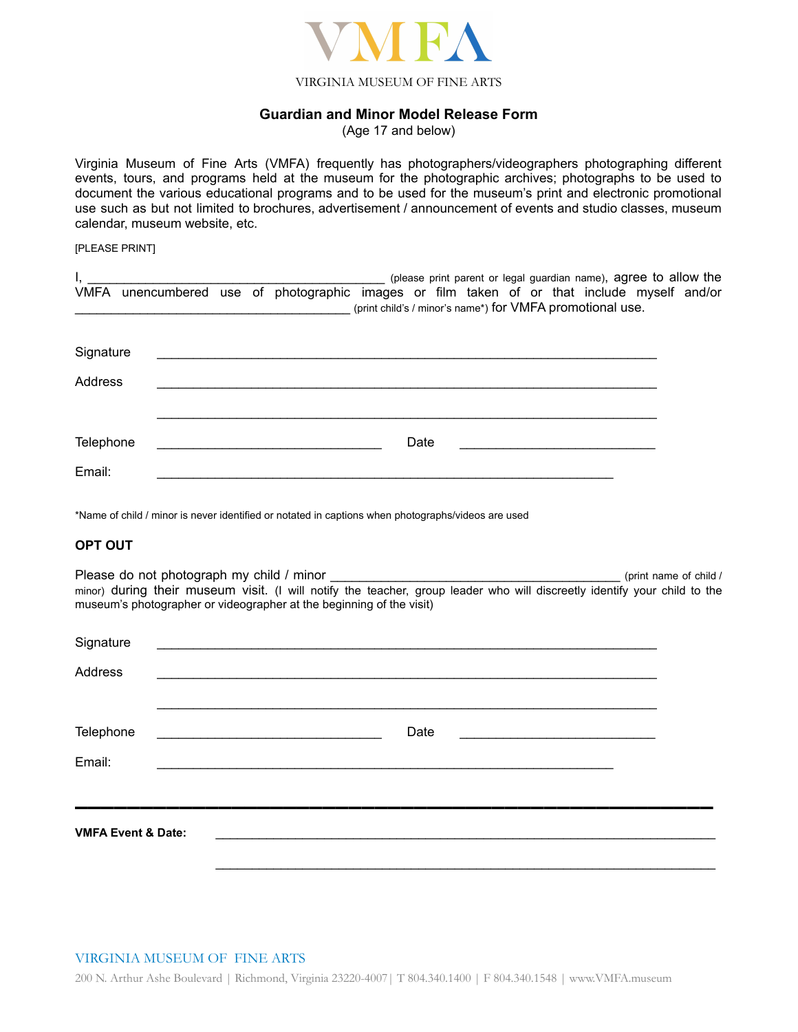

#### VIRGINIA MUSEUM OF FINE ARTS

#### **Guardian and Minor Model Release Form**

(Age 17 and below)

Virginia Museum of Fine Arts (VMFA) frequently has photographers/videographers photographing different events, tours, and programs held at the museum for the photographic archives; photographs to be used to document the various educational programs and to be used for the museum's print and electronic promotional use such as but not limited to brochures, advertisement / announcement of events and studio classes, museum calendar, museum website, etc.

#### [PLEASE PRINT]

|           |  | (please print parent or legal guardian name), agree to allow the<br>VMFA unencumbered use of photographic images or film taken of or that include myself and/or<br>(print child's / minor's name*) for VMFA promotional use. |  |
|-----------|--|------------------------------------------------------------------------------------------------------------------------------------------------------------------------------------------------------------------------------|--|
| Signature |  |                                                                                                                                                                                                                              |  |
| Address   |  |                                                                                                                                                                                                                              |  |
|           |  |                                                                                                                                                                                                                              |  |
| Telephone |  | Date                                                                                                                                                                                                                         |  |
| Email:    |  |                                                                                                                                                                                                                              |  |

\*Name of child / minor is never identified or notated in captions when photographs/videos are used

#### **OPT OUT**

Please do not photograph my child / minor example and the state of child / minor and the state of child / minor) during their museum visit. (I will notify the teacher, group leader who will discreetly identify your child to the museum's photographer or videographer at the beginning of the visit)

| Signature                                                                                                                                              |                                                           |  |  |  |
|--------------------------------------------------------------------------------------------------------------------------------------------------------|-----------------------------------------------------------|--|--|--|
| <b>Address</b>                                                                                                                                         | <u> 1980 - John Stone, Amerikaansk politiker († 1908)</u> |  |  |  |
|                                                                                                                                                        |                                                           |  |  |  |
| Telephone                                                                                                                                              | Date                                                      |  |  |  |
| Email:                                                                                                                                                 |                                                           |  |  |  |
|                                                                                                                                                        |                                                           |  |  |  |
| <b>VMFA Event &amp; Date:</b><br><u> 1980 - Johann Stoff, deutscher Stoff, der Stoff, der Stoff, der Stoff, der Stoff, der Stoff, der Stoff, der S</u> |                                                           |  |  |  |
|                                                                                                                                                        |                                                           |  |  |  |

#### VIRGINIA MUSEUM OF FINE ARTS

200 N. Arthur Ashe Boulevard | Richmond, Virginia 23220-4007| T 804.340.1400 | F 804.340.1548 | [www.VMFA.museum](http://www.vmfa.museum/)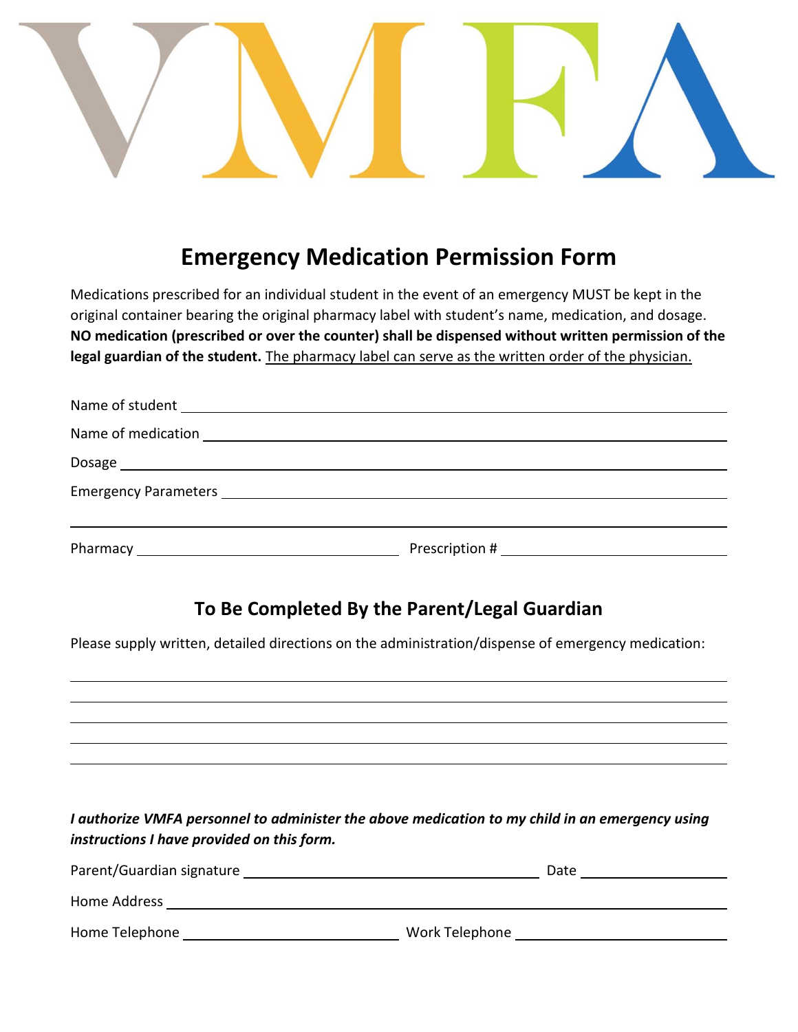

# **Emergency Medication Permission Form**

Medications prescribed for an individual student in the event of an emergency MUST be kept in the original container bearing the original pharmacy label with student's name, medication, and dosage. **NO medication (prescribed or over the counter) shall be dispensed without written permission of the legal guardian of the student.** The pharmacy label can serve as the written order of the physician.

## **To Be Completed By the Parent/Legal Guardian**

Please supply written, detailed directions on the administration/dispense of emergency medication:

| I authorize VMFA personnel to administer the above medication to my child in an emergency using |
|-------------------------------------------------------------------------------------------------|
| instructions I have provided on this form.                                                      |

| Parent/Guardian signature | Date           |
|---------------------------|----------------|
| Home Address              |                |
| Home Telephone            | Work Telephone |